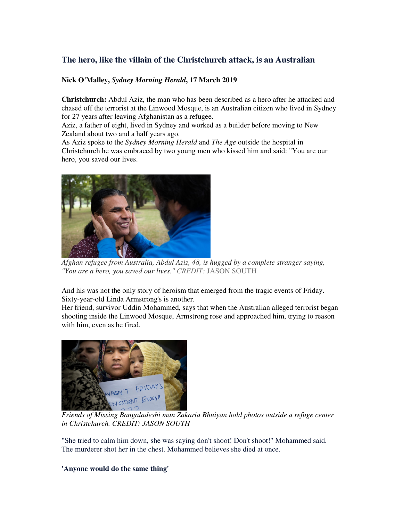# **The hero, like the villain of the Christchurch attack, is an Australian**

## **Nick O'Malley,** *Sydney Morning Herald***, 17 March 2019**

**Christchurch:** Abdul Aziz, the man who has been described as a hero after he attacked and chased off the terrorist at the Linwood Mosque, is an Australian citizen who lived in Sydney for 27 years after leaving Afghanistan as a refugee.

Aziz, a father of eight, lived in Sydney and worked as a builder before moving to New Zealand about two and a half years ago.

As Aziz spoke to the *Sydney Morning Herald* and *The Age* outside the hospital in Christchurch he was embraced by two young men who kissed him and said: "You are our hero, you saved our lives.



*Afghan refugee from Australia, Abdul Aziz, 48, is hugged by a complete stranger saying, "You are a hero, you saved our lives." CREDIT:* JASON SOUTH

And his was not the only story of heroism that emerged from the tragic events of Friday. Sixty-year-old Linda Armstrong's is another.

Her friend, survivor Uddin Mohammed, says that when the Australian alleged terrorist began shooting inside the Linwood Mosque, Armstrong rose and approached him, trying to reason with him, even as he fired.



*Friends of Missing Bangaladeshi man Zakaria Bhuiyan hold photos outside a refuge center in Christchurch. CREDIT: JASON SOUTH*

"She tried to calm him down, she was saying don't shoot! Don't shoot!" Mohammed said. The murderer shot her in the chest. Mohammed believes she died at once.

## **'Anyone would do the same thing'**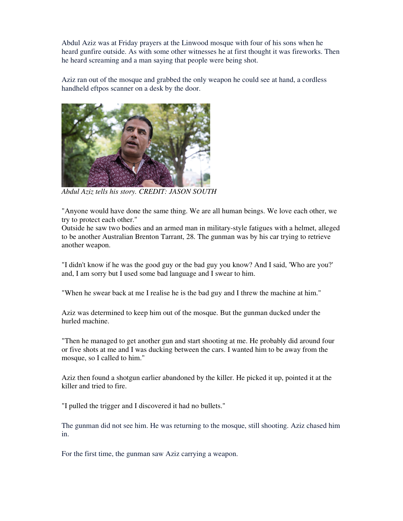Abdul Aziz was at Friday prayers at the Linwood mosque with four of his sons when he heard gunfire outside. As with some other witnesses he at first thought it was fireworks. Then he heard screaming and a man saying that people were being shot.

Aziz ran out of the mosque and grabbed the only weapon he could see at hand, a cordless handheld eftpos scanner on a desk by the door.



*Abdul Aziz tells his story. CREDIT: JASON SOUTH*

"Anyone would have done the same thing. We are all human beings. We love each other, we try to protect each other."

Outside he saw two bodies and an armed man in military-style fatigues with a helmet, alleged to be another Australian Brenton Tarrant, 28. The gunman was by his car trying to retrieve another weapon.

"I didn't know if he was the good guy or the bad guy you know? And I said, 'Who are you?' and, I am sorry but I used some bad language and I swear to him.

"When he swear back at me I realise he is the bad guy and I threw the machine at him."

Aziz was determined to keep him out of the mosque. But the gunman ducked under the hurled machine.

"Then he managed to get another gun and start shooting at me. He probably did around four or five shots at me and I was ducking between the cars. I wanted him to be away from the mosque, so I called to him."

Aziz then found a shotgun earlier abandoned by the killer. He picked it up, pointed it at the killer and tried to fire.

"I pulled the trigger and I discovered it had no bullets."

The gunman did not see him. He was returning to the mosque, still shooting. Aziz chased him in.

For the first time, the gunman saw Aziz carrying a weapon.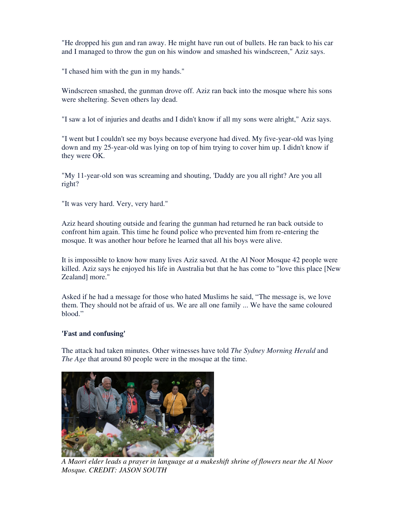"He dropped his gun and ran away. He might have run out of bullets. He ran back to his car and I managed to throw the gun on his window and smashed his windscreen," Aziz says.

"I chased him with the gun in my hands."

Windscreen smashed, the gunman drove off. Aziz ran back into the mosque where his sons were sheltering. Seven others lay dead.

"I saw a lot of injuries and deaths and I didn't know if all my sons were alright," Aziz says.

"I went but I couldn't see my boys because everyone had dived. My five-year-old was lying down and my 25-year-old was lying on top of him trying to cover him up. I didn't know if they were OK.

"My 11-year-old son was screaming and shouting, 'Daddy are you all right? Are you all right?

"It was very hard. Very, very hard."

Aziz heard shouting outside and fearing the gunman had returned he ran back outside to confront him again. This time he found police who prevented him from re-entering the mosque. It was another hour before he learned that all his boys were alive.

It is impossible to know how many lives Aziz saved. At the Al Noor Mosque 42 people were killed. Aziz says he enjoyed his life in Australia but that he has come to "love this place [New Zealand] more."

Asked if he had a message for those who hated Muslims he said, "The message is, we love them. They should not be afraid of us. We are all one family ... We have the same coloured blood."

#### **'Fast and confusing'**

The attack had taken minutes. Other witnesses have told *The Sydney Morning Herald* and *The Age* that around 80 people were in the mosque at the time.



*A Maori elder leads a prayer in language at a makeshift shrine of flowers near the Al Noor Mosque. CREDIT: JASON SOUTH*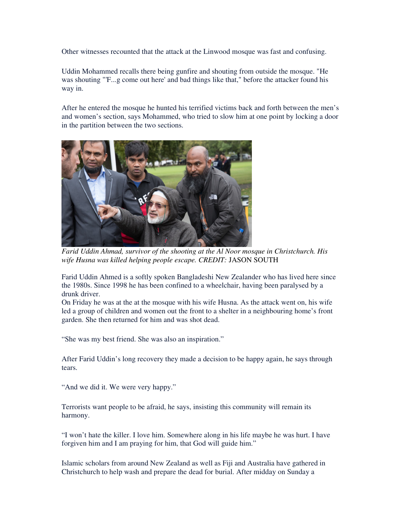Other witnesses recounted that the attack at the Linwood mosque was fast and confusing.

Uddin Mohammed recalls there being gunfire and shouting from outside the mosque. "He was shouting "'F...g come out here' and bad things like that," before the attacker found his way in.

After he entered the mosque he hunted his terrified victims back and forth between the men's and women's section, says Mohammed, who tried to slow him at one point by locking a door in the partition between the two sections.



*Farid Uddin Ahmad, survivor of the shooting at the Al Noor mosque in Christchurch. His wife Husna was killed helping people escape. CREDIT:* JASON SOUTH

Farid Uddin Ahmed is a softly spoken Bangladeshi New Zealander who has lived here since the 1980s. Since 1998 he has been confined to a wheelchair, having been paralysed by a drunk driver.

On Friday he was at the at the mosque with his wife Husna. As the attack went on, his wife led a group of children and women out the front to a shelter in a neighbouring home's front garden. She then returned for him and was shot dead.

"She was my best friend. She was also an inspiration."

After Farid Uddin's long recovery they made a decision to be happy again, he says through tears.

"And we did it. We were very happy."

Terrorists want people to be afraid, he says, insisting this community will remain its harmony.

"I won't hate the killer. I love him. Somewhere along in his life maybe he was hurt. I have forgiven him and I am praying for him, that God will guide him."

Islamic scholars from around New Zealand as well as Fiji and Australia have gathered in Christchurch to help wash and prepare the dead for burial. After midday on Sunday a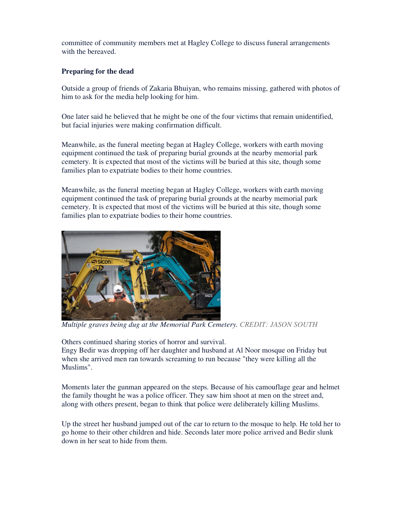committee of community members met at Hagley College to discuss funeral arrangements with the bereaved.

### **Preparing for the dead**

Outside a group of friends of Zakaria Bhuiyan, who remains missing, gathered with photos of him to ask for the media help looking for him.

One later said he believed that he might be one of the four victims that remain unidentified, but facial injuries were making confirmation difficult.

Meanwhile, as the funeral meeting began at Hagley College, workers with earth moving equipment continued the task of preparing burial grounds at the nearby memorial park cemetery. It is expected that most of the victims will be buried at this site, though some families plan to expatriate bodies to their home countries.

Meanwhile, as the funeral meeting began at Hagley College, workers with earth moving equipment continued the task of preparing burial grounds at the nearby memorial park cemetery. It is expected that most of the victims will be buried at this site, though some families plan to expatriate bodies to their home countries.



*Multiple graves being dug at the Memorial Park Cemetery. CREDIT: JASON SOUTH*

Others continued sharing stories of horror and survival.

Engy Bedir was dropping off her daughter and husband at Al Noor mosque on Friday but when she arrived men ran towards screaming to run because "they were killing all the Muslims".

Moments later the gunman appeared on the steps. Because of his camouflage gear and helmet the family thought he was a police officer. They saw him shoot at men on the street and, along with others present, began to think that police were deliberately killing Muslims.

Up the street her husband jumped out of the car to return to the mosque to help. He told her to go home to their other children and hide. Seconds later more police arrived and Bedir slunk down in her seat to hide from them.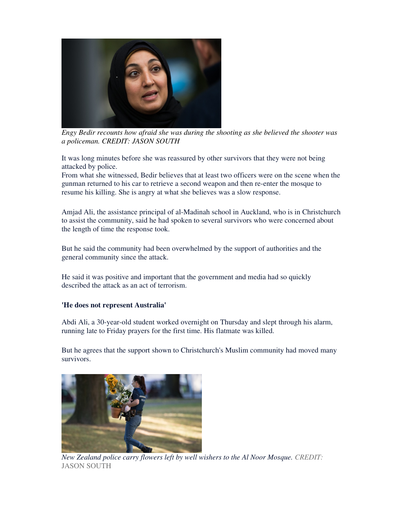

*Engy Bedir recounts how afraid she was during the shooting as she believed the shooter was a policeman. CREDIT: JASON SOUTH*

It was long minutes before she was reassured by other survivors that they were not being attacked by police.

From what she witnessed, Bedir believes that at least two officers were on the scene when the gunman returned to his car to retrieve a second weapon and then re-enter the mosque to resume his killing. She is angry at what she believes was a slow response.

Amjad Ali, the assistance principal of al-Madinah school in Auckland, who is in Christchurch to assist the community, said he had spoken to several survivors who were concerned about the length of time the response took.

But he said the community had been overwhelmed by the support of authorities and the general community since the attack.

He said it was positive and important that the government and media had so quickly described the attack as an act of terrorism.

#### **'He does not represent Australia'**

Abdi Ali, a 30-year-old student worked overnight on Thursday and slept through his alarm, running late to Friday prayers for the first time. His flatmate was killed.

But he agrees that the support shown to Christchurch's Muslim community had moved many survivors.



*New Zealand police carry flowers left by well wishers to the Al Noor Mosque. CREDIT:*  JASON SOUTH